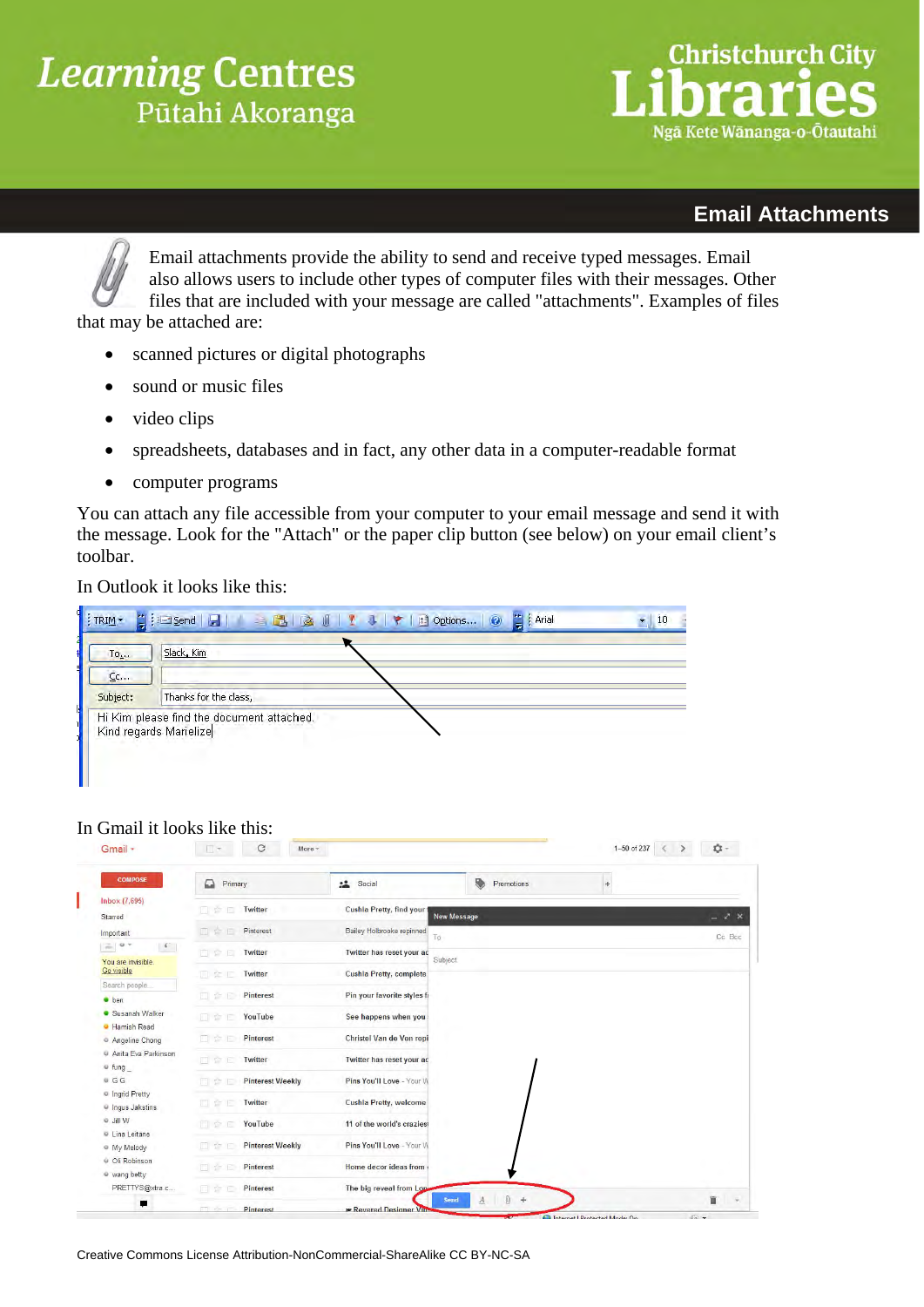## **Learning Centres** Pūtahi Akoranga

# **Christchurch City** Ngã Kete Wānanga-o-Ōtautahi

#### **Email Attachments**

Email attachments provide the ability to send and receive typed messages. Email also allows users to include other types of computer files with their messages. Other files that are included with your message are called "attachments". Examples of files that may be attached are:

- scanned pictures or digital photographs
- sound or music files
- video clips
- spreadsheets, databases and in fact, any other data in a computer-readable format
- computer programs

You can attach any file accessible from your computer to your email message and send it with the message. Look for the "Attach" or the paper clip button (see below) on your email client's toolbar.

In Outlook it looks like this:

| $To_{\lambda+1}$             | Slack, Kim                                                          |  |
|------------------------------|---------------------------------------------------------------------|--|
| $C$ <sub>c</sub><br>Subject: | Thanks for the class,                                               |  |
|                              | Hi Kim please find the document attached.<br>Kind regards Marielize |  |

#### In Gmail it looks like this:

| <b>COMPOSE</b>                              |                                |                                |                    |                                           |       |                        |
|---------------------------------------------|--------------------------------|--------------------------------|--------------------|-------------------------------------------|-------|------------------------|
|                                             | ≏<br>Primary                   | 2 <sup>o</sup><br>Social       |                    | ₿<br>Promotions                           | $\pm$ |                        |
| Inbox (7,695)<br>Starred                    | 日登日<br>Twitter                 | Cushla Pretty, find your       | <b>New Message</b> |                                           |       | $ \lambda$ $\times$    |
| Important                                   | 口含口<br>Pinterest               | Bailey Holbrooke repinned      | To                 |                                           |       | Cc Bcc                 |
| $= 0 +$<br>$\sqrt{2}$<br>You are invisible. | 日全日<br>Twitter                 | Twitter has reset your ac      | Subject            |                                           |       |                        |
| Go visible                                  | Twitter<br>日全日                 | Cushla Pretty, complete        |                    |                                           |       |                        |
| Search people<br><b>ben</b>                 | Pinterest<br>DAD               | Pin your favorite styles fi    |                    |                                           |       |                        |
| Susanah Walker<br><b>C</b> Hamish Read      | YouTube<br>日空日                 | See happens when you           |                    |                                           |       |                        |
| <sup>o</sup> Angeline Chong                 | Pinterest<br><b>DI SE D</b>    | Christel Van de Ven repi       |                    |                                           |       |                        |
| Anita Eva Parkinson<br>$#$ fung $\_$        | Twitter<br>同会日                 | Twitter has reset your ac      |                    |                                           |       |                        |
| .GG                                         | <b>Pinterest Weekly</b><br>同意日 | Pins You'll Love - Your VI     |                    |                                           |       |                        |
| ingrid Pretty<br>U Inqus Jakstins           | Twitter<br><b>D</b> & E        | Cushla Pretty, welcome         |                    |                                           |       |                        |
| o Jill W                                    | YouTube<br>日台日                 | 11 of the world's crazies      |                    |                                           |       |                        |
| Lina Leitane<br>@ My Melody                 | <b>Pinterest Weekly</b><br>日ご日 | Pins You'll Love - Your VI     |                    |                                           |       |                        |
| Oli Robinson<br>wang betty                  | Pinterest<br>日台日               | Home decor ideas from          |                    |                                           |       |                        |
| PRETTYS@xtra.c                              | Pinterest<br>日空日               | The big reveal from Long       |                    |                                           |       |                        |
| π                                           | <b>Pinterest</b><br>m e r      | <b>*</b> Revered Designer VIII | Send               | $\mathbb{0}$<br>$\pm$<br>$\boldsymbol{A}$ |       | 宣<br>$\overline{\tau}$ |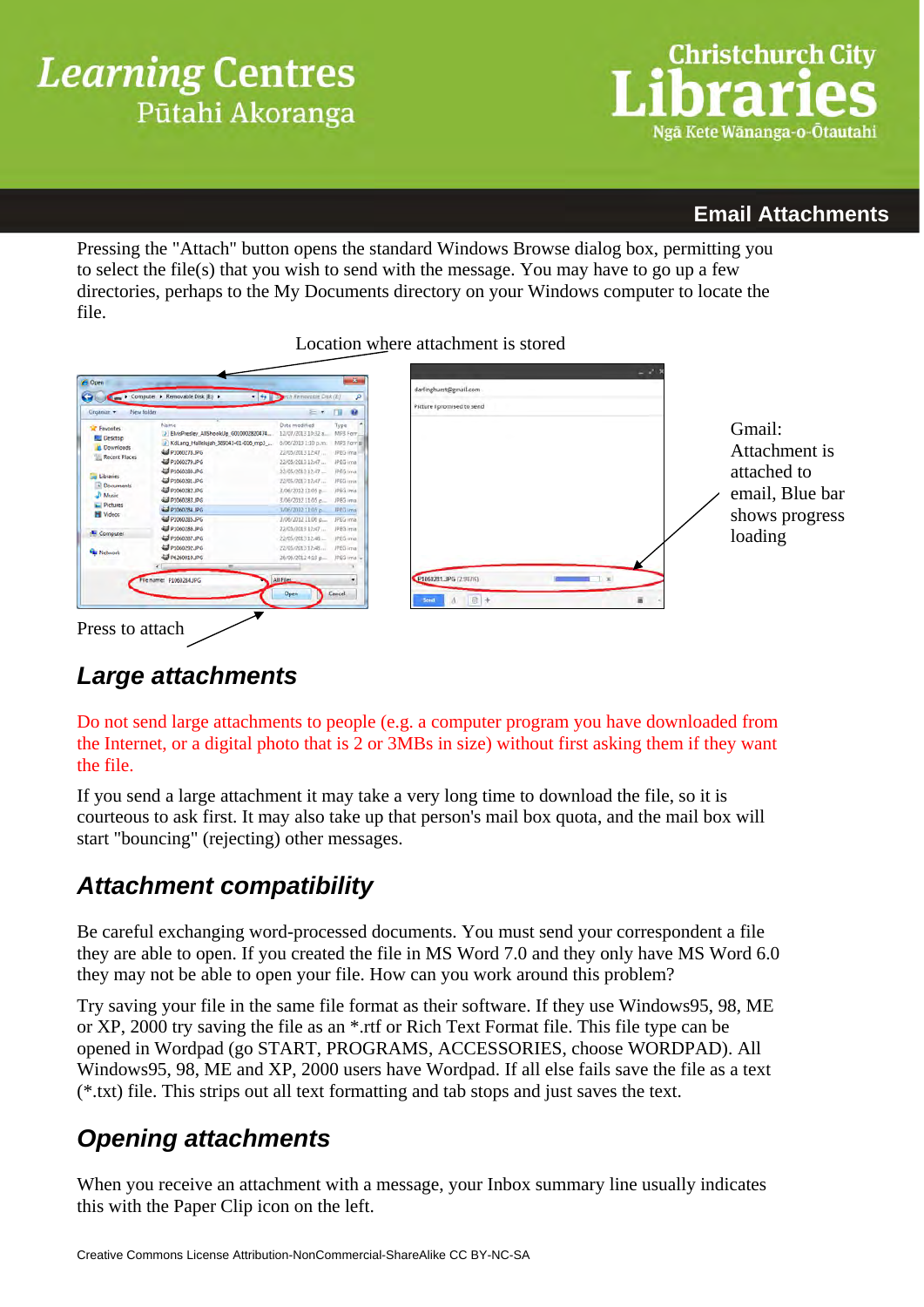

### **Email Attachments**

Pressing the "Attach" button opens the standard Windows Browse dialog box, permitting you to select the file(s) that you wish to send with the message. You may have to go up a few directories, perhaps to the My Documents directory on your Windows computer to locate the file.

#### Location where attachment is stored

| New folder<br>Organize +                                                                                                                                                      |                                                                                                                                                                                                                                                                                                                                                 | E + F                                                                                                                                                                                                                                                                                                                                                                                          | $\bullet$                                                                                                                             | Picture I promised to send |     |              |   |                                                                                        |
|-------------------------------------------------------------------------------------------------------------------------------------------------------------------------------|-------------------------------------------------------------------------------------------------------------------------------------------------------------------------------------------------------------------------------------------------------------------------------------------------------------------------------------------------|------------------------------------------------------------------------------------------------------------------------------------------------------------------------------------------------------------------------------------------------------------------------------------------------------------------------------------------------------------------------------------------------|---------------------------------------------------------------------------------------------------------------------------------------|----------------------------|-----|--------------|---|----------------------------------------------------------------------------------------|
| <b>R</b> Favorites<br><b>Desktop</b><br>Downloads<br>Recent Places<br>Libraries<br>Documents<br>Music<br>Pictures<br><b>H</b> Videos<br><b>E</b> Computer<br><b>Q</b> Network | Name<br>> ElvisPresley_AllShookUp_0010002820474<br>> KdLang_Hallelujah_389143-01-016_mp3_<br>44 P1050278 JPG<br>40 P1060279JPG<br>40 P1060280.JPG<br>4 P1060281 JPG<br>4 P1060282.JPG<br>2 P1060283.JPG<br>2 P1060284, IPG<br>40 P1060285JPG<br>40 P1060286.JPG<br>d P1060287.JPG<br>4 P1060292.JPG<br>4 P6260010.JPG<br>File name: P1060284JPG | Date modified<br>12/07/2013 10:32 a.<br>6/06/2013 1:10 p.m.<br>22/05/2013 12:47<br>22/05/2013 12:47<br>22/05/2013 12:47<br>22/05/2013 12:47<br>3/06/2012 11:05 p. / / / / PEG ima<br>3/06/2012 11:05 p.m. JPEG ima<br>3/06/2012 11:05 p. IPEG ima<br>3/06/2012 11:06 p.m. JPEG ima<br>22/05/2013 12:47<br>22/05/2013 12:48<br>22/05/2013 12:48<br>26/06/2012 4:19 p., JPEG Into -<br>All Files | Type<br>MP3 Forr,<br>MP3 Forr[#]<br><b>JPEG</b> ima<br>JPEG inna<br>IPEG ima<br>JPEG insa<br>JPEG inta<br>IPEG ima<br><b>JPEG</b> ima | P1060281.JPG (2.957K)      |     | $\mathbf{x}$ |   | Gmail:<br>Attachment is<br>attached to<br>email, Blue bar<br>shows progress<br>loading |
|                                                                                                                                                                               |                                                                                                                                                                                                                                                                                                                                                 | Open                                                                                                                                                                                                                                                                                                                                                                                           | Cancel                                                                                                                                | $\Lambda$<br>Send          | 图 + |              | 盲 |                                                                                        |

## *Large attachments*

Do not send large attachments to people (e.g. a computer program you have downloaded from the Internet, or a digital photo that is 2 or 3MBs in size) without first asking them if they want the file.

If you send a large attachment it may take a very long time to download the file, so it is courteous to ask first. It may also take up that person's mail box quota, and the mail box will start "bouncing" (rejecting) other messages.

## *Attachment compatibility*

Be careful exchanging word-processed documents. You must send your correspondent a file they are able to open. If you created the file in MS Word 7.0 and they only have MS Word 6.0 they may not be able to open your file. How can you work around this problem?

Try saving your file in the same file format as their software. If they use Windows95, 98, ME or XP, 2000 try saving the file as an \*.rtf or Rich Text Format file. This file type can be opened in Wordpad (go START, PROGRAMS, ACCESSORIES, choose WORDPAD). All Windows95, 98, ME and XP, 2000 users have Wordpad. If all else fails save the file as a text (\*.txt) file. This strips out all text formatting and tab stops and just saves the text.

## *Opening attachments*

When you receive an attachment with a message, your Inbox summary line usually indicates this with the Paper Clip icon on the left.